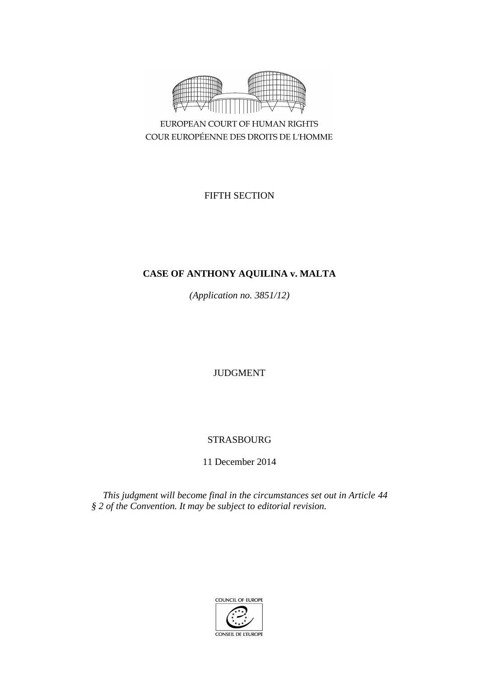

COUR EUROPÉENNE DES DROITS DE L'HOMME

FIFTH SECTION

# **CASE OF ANTHONY AQUILINA v. MALTA**

*(Application no. 3851/12)*

JUDGMENT

# STRASBOURG

11 December 2014

*This judgment will become final in the circumstances set out in Article 44 § 2 of the Convention. It may be subject to editorial revision.*

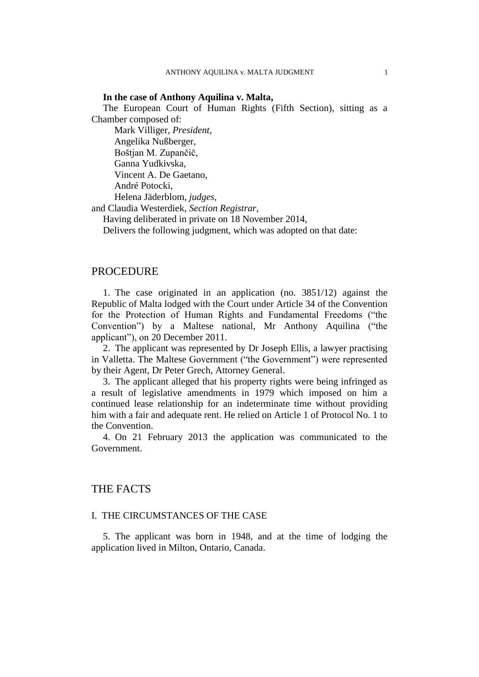## **In the case of Anthony Aquilina v. Malta,**

The European Court of Human Rights (Fifth Section), sitting as a Chamber composed of:

Mark Villiger, *President,* Angelika Nußberger, Boštjan M. Zupančič, Ganna Yudkivska, Vincent A. De Gaetano, André Potocki, Helena Jäderblom, *judges,*

and Claudia Westerdiek, *Section Registrar,*

Having deliberated in private on 18 November 2014,

Delivers the following judgment, which was adopted on that date:

## PROCEDURE

1. The case originated in an application (no. 3851/12) against the Republic of Malta lodged with the Court under Article 34 of the Convention for the Protection of Human Rights and Fundamental Freedoms ("the Convention") by a Maltese national, Mr Anthony Aquilina ("the applicant"), on 20 December 2011.

2. The applicant was represented by Dr Joseph Ellis, a lawyer practising in Valletta. The Maltese Government ("the Government") were represented by their Agent, Dr Peter Grech, Attorney General.

3. The applicant alleged that his property rights were being infringed as a result of legislative amendments in 1979 which imposed on him a continued lease relationship for an indeterminate time without providing him with a fair and adequate rent. He relied on Article 1 of Protocol No. 1 to the Convention.

4. On 21 February 2013 the application was communicated to the Government.

## THE FACTS

## I. THE CIRCUMSTANCES OF THE CASE

5. The applicant was born in 1948, and at the time of lodging the application lived in Milton, Ontario, Canada.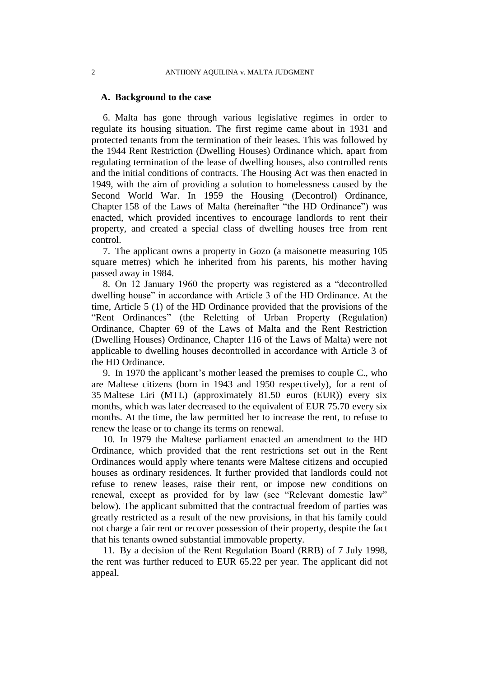## **A. Background to the case**

6. Malta has gone through various legislative regimes in order to regulate its housing situation. The first regime came about in 1931 and protected tenants from the termination of their leases. This was followed by the 1944 Rent Restriction (Dwelling Houses) Ordinance which, apart from regulating termination of the lease of dwelling houses, also controlled rents and the initial conditions of contracts. The Housing Act was then enacted in 1949, with the aim of providing a solution to homelessness caused by the Second World War. In 1959 the Housing (Decontrol) Ordinance, Chapter 158 of the Laws of Malta (hereinafter "the HD Ordinance") was enacted, which provided incentives to encourage landlords to rent their property, and created a special class of dwelling houses free from rent control.

7. The applicant owns a property in Gozo (a maisonette measuring 105 square metres) which he inherited from his parents, his mother having passed away in 1984.

8. On 12 January 1960 the property was registered as a "decontrolled dwelling house" in accordance with Article 3 of the HD Ordinance. At the time, Article 5 (1) of the HD Ordinance provided that the provisions of the "Rent Ordinances" (the Reletting of Urban Property (Regulation) Ordinance, Chapter 69 of the Laws of Malta and the Rent Restriction (Dwelling Houses) Ordinance, Chapter 116 of the Laws of Malta) were not applicable to dwelling houses decontrolled in accordance with Article 3 of the HD Ordinance.

9. In 1970 the applicant's mother leased the premises to couple C., who are Maltese citizens (born in 1943 and 1950 respectively), for a rent of 35 Maltese Liri (MTL) (approximately 81.50 euros (EUR)) every six months, which was later decreased to the equivalent of EUR 75.70 every six months. At the time, the law permitted her to increase the rent, to refuse to renew the lease or to change its terms on renewal.

10. In 1979 the Maltese parliament enacted an amendment to the HD Ordinance, which provided that the rent restrictions set out in the Rent Ordinances would apply where tenants were Maltese citizens and occupied houses as ordinary residences. It further provided that landlords could not refuse to renew leases, raise their rent, or impose new conditions on renewal, except as provided for by law (see "Relevant domestic law" below). The applicant submitted that the contractual freedom of parties was greatly restricted as a result of the new provisions, in that his family could not charge a fair rent or recover possession of their property, despite the fact that his tenants owned substantial immovable property.

11. By a decision of the Rent Regulation Board (RRB) of 7 July 1998, the rent was further reduced to EUR 65.22 per year. The applicant did not appeal.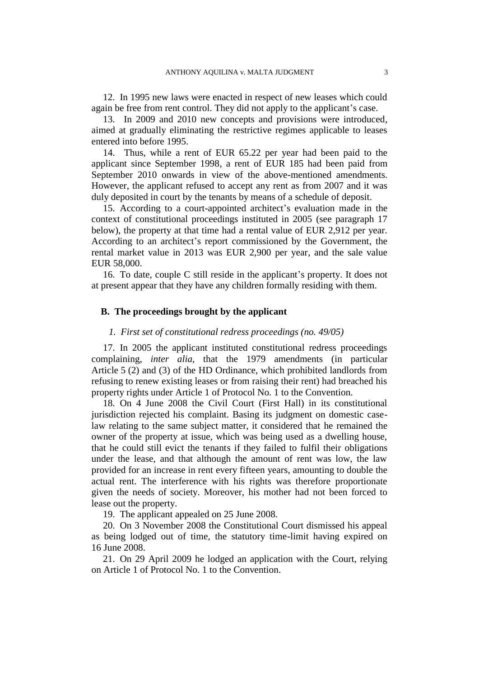12. In 1995 new laws were enacted in respect of new leases which could again be free from rent control. They did not apply to the applicant's case.

13. In 2009 and 2010 new concepts and provisions were introduced, aimed at gradually eliminating the restrictive regimes applicable to leases entered into before 1995.

14. Thus, while a rent of EUR 65.22 per year had been paid to the applicant since September 1998, a rent of EUR 185 had been paid from September 2010 onwards in view of the above-mentioned amendments. However, the applicant refused to accept any rent as from 2007 and it was duly deposited in court by the tenants by means of a schedule of deposit.

15. According to a court-appointed architect's evaluation made in the context of constitutional proceedings instituted in 2005 (see paragraph 17 below), the property at that time had a rental value of EUR 2,912 per year. According to an architect's report commissioned by the Government, the rental market value in 2013 was EUR 2,900 per year, and the sale value EUR 58,000.

16. To date, couple C still reside in the applicant's property. It does not at present appear that they have any children formally residing with them.

## **B. The proceedings brought by the applicant**

## *1. First set of constitutional redress proceedings (no. 49/05)*

17. In 2005 the applicant instituted constitutional redress proceedings complaining, *inter alia*, that the 1979 amendments (in particular Article 5 (2) and (3) of the HD Ordinance, which prohibited landlords from refusing to renew existing leases or from raising their rent) had breached his property rights under Article 1 of Protocol No. 1 to the Convention.

18. On 4 June 2008 the Civil Court (First Hall) in its constitutional jurisdiction rejected his complaint. Basing its judgment on domestic caselaw relating to the same subject matter, it considered that he remained the owner of the property at issue, which was being used as a dwelling house, that he could still evict the tenants if they failed to fulfil their obligations under the lease, and that although the amount of rent was low, the law provided for an increase in rent every fifteen years, amounting to double the actual rent. The interference with his rights was therefore proportionate given the needs of society. Moreover, his mother had not been forced to lease out the property.

19. The applicant appealed on 25 June 2008.

20. On 3 November 2008 the Constitutional Court dismissed his appeal as being lodged out of time, the statutory time-limit having expired on 16 June 2008.

21. On 29 April 2009 he lodged an application with the Court, relying on Article 1 of Protocol No. 1 to the Convention.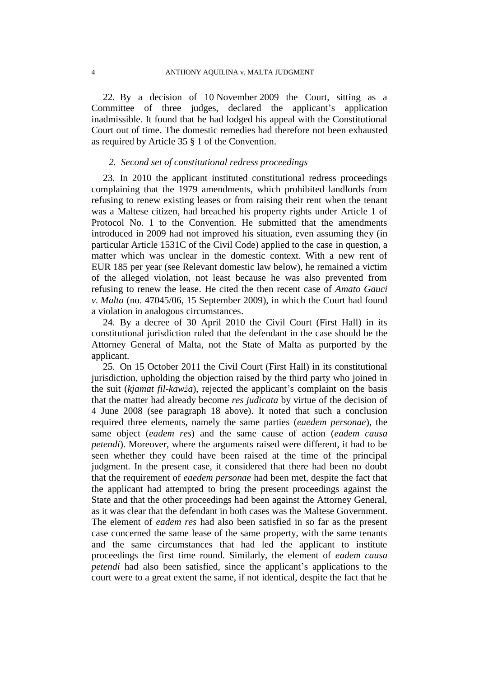22. By a decision of 10 November 2009 the Court, sitting as a Committee of three judges, declared the applicant's application inadmissible. It found that he had lodged his appeal with the Constitutional Court out of time. The domestic remedies had therefore not been exhausted as required by Article 35 § 1 of the Convention.

## *2. Second set of constitutional redress proceedings*

23. In 2010 the applicant instituted constitutional redress proceedings complaining that the 1979 amendments, which prohibited landlords from refusing to renew existing leases or from raising their rent when the tenant was a Maltese citizen, had breached his property rights under Article 1 of Protocol No. 1 to the Convention. He submitted that the amendments introduced in 2009 had not improved his situation, even assuming they (in particular Article 1531C of the Civil Code) applied to the case in question, a matter which was unclear in the domestic context. With a new rent of EUR 185 per year (see Relevant domestic law below), he remained a victim of the alleged violation, not least because he was also prevented from refusing to renew the lease. He cited the then recent case of *Amato Gauci v. Malta* (no. 47045/06, 15 September 2009), in which the Court had found a violation in analogous circumstances.

24. By a decree of 30 April 2010 the Civil Court (First Hall) in its constitutional jurisdiction ruled that the defendant in the case should be the Attorney General of Malta, not the State of Malta as purported by the applicant.

25. On 15 October 2011 the Civil Court (First Hall) in its constitutional jurisdiction, upholding the objection raised by the third party who joined in the suit (*kjamat fil-kawża*), rejected the applicant's complaint on the basis that the matter had already become *res judicata* by virtue of the decision of 4 June 2008 (see paragraph 18 above). It noted that such a conclusion required three elements, namely the same parties (*eaedem personae*), the same object (*eadem res*) and the same cause of action (*eadem causa petendi*). Moreover, where the arguments raised were different, it had to be seen whether they could have been raised at the time of the principal judgment. In the present case, it considered that there had been no doubt that the requirement of *eaedem personae* had been met, despite the fact that the applicant had attempted to bring the present proceedings against the State and that the other proceedings had been against the Attorney General, as it was clear that the defendant in both cases was the Maltese Government. The element of *eadem res* had also been satisfied in so far as the present case concerned the same lease of the same property, with the same tenants and the same circumstances that had led the applicant to institute proceedings the first time round. Similarly, the element of *eadem causa petendi* had also been satisfied, since the applicant's applications to the court were to a great extent the same, if not identical, despite the fact that he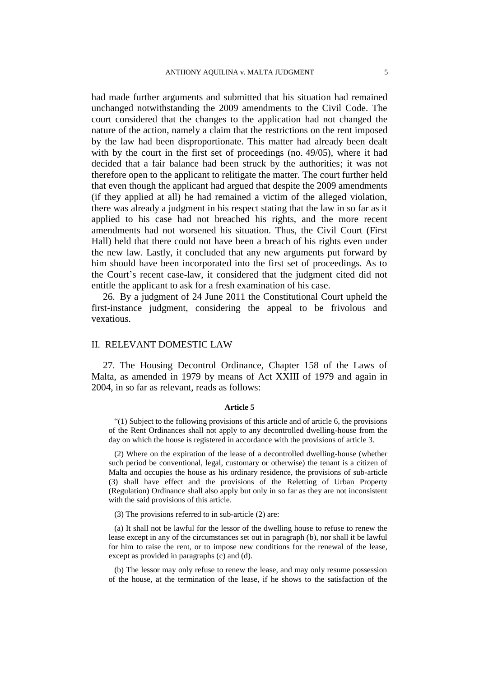had made further arguments and submitted that his situation had remained unchanged notwithstanding the 2009 amendments to the Civil Code. The court considered that the changes to the application had not changed the nature of the action, namely a claim that the restrictions on the rent imposed by the law had been disproportionate. This matter had already been dealt with by the court in the first set of proceedings (no. 49/05), where it had decided that a fair balance had been struck by the authorities; it was not therefore open to the applicant to relitigate the matter. The court further held that even though the applicant had argued that despite the 2009 amendments (if they applied at all) he had remained a victim of the alleged violation, there was already a judgment in his respect stating that the law in so far as it applied to his case had not breached his rights, and the more recent amendments had not worsened his situation. Thus, the Civil Court (First Hall) held that there could not have been a breach of his rights even under the new law. Lastly, it concluded that any new arguments put forward by him should have been incorporated into the first set of proceedings. As to the Court's recent case-law, it considered that the judgment cited did not entitle the applicant to ask for a fresh examination of his case.

26. By a judgment of 24 June 2011 the Constitutional Court upheld the first-instance judgment, considering the appeal to be frivolous and vexatious.

## II. RELEVANT DOMESTIC LAW

27. The Housing Decontrol Ordinance, Chapter 158 of the Laws of Malta, as amended in 1979 by means of Act XXIII of 1979 and again in 2004, in so far as relevant, reads as follows:

#### **Article 5**

"(1) Subject to the following provisions of this article and of article 6, the provisions of the Rent Ordinances shall not apply to any decontrolled dwelling-house from the day on which the house is registered in accordance with the provisions of article 3.

(2) Where on the expiration of the lease of a decontrolled dwelling-house (whether such period be conventional, legal, customary or otherwise) the tenant is a citizen of Malta and occupies the house as his ordinary residence, the provisions of sub-article (3) shall have effect and the provisions of the Reletting of Urban Property (Regulation) Ordinance shall also apply but only in so far as they are not inconsistent with the said provisions of this article.

(3) The provisions referred to in sub-article (2) are:

(a) It shall not be lawful for the lessor of the dwelling house to refuse to renew the lease except in any of the circumstances set out in paragraph (b), nor shall it be lawful for him to raise the rent, or to impose new conditions for the renewal of the lease, except as provided in paragraphs (c) and (d).

(b) The lessor may only refuse to renew the lease, and may only resume possession of the house, at the termination of the lease, if he shows to the satisfaction of the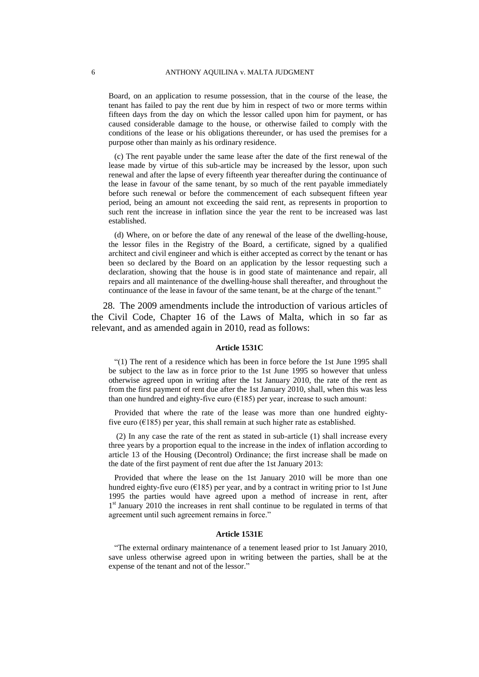Board, on an application to resume possession, that in the course of the lease, the tenant has failed to pay the rent due by him in respect of two or more terms within fifteen days from the day on which the lessor called upon him for payment, or has caused considerable damage to the house, or otherwise failed to comply with the conditions of the lease or his obligations thereunder, or has used the premises for a purpose other than mainly as his ordinary residence.

(c) The rent payable under the same lease after the date of the first renewal of the lease made by virtue of this sub-article may be increased by the lessor, upon such renewal and after the lapse of every fifteenth year thereafter during the continuance of the lease in favour of the same tenant, by so much of the rent payable immediately before such renewal or before the commencement of each subsequent fifteen year period, being an amount not exceeding the said rent, as represents in proportion to such rent the increase in inflation since the year the rent to be increased was last established.

(d) Where, on or before the date of any renewal of the lease of the dwelling-house, the lessor files in the Registry of the Board, a certificate, signed by a qualified architect and civil engineer and which is either accepted as correct by the tenant or has been so declared by the Board on an application by the lessor requesting such a declaration, showing that the house is in good state of maintenance and repair, all repairs and all maintenance of the dwelling-house shall thereafter, and throughout the continuance of the lease in favour of the same tenant, be at the charge of the tenant."

28. The 2009 amendments include the introduction of various articles of the Civil Code, Chapter 16 of the Laws of Malta, which in so far as relevant, and as amended again in 2010, read as follows:

### **Article 1531C**

"(1) The rent of a residence which has been in force before the 1st June 1995 shall be subject to the law as in force prior to the 1st June 1995 so however that unless otherwise agreed upon in writing after the 1st January 2010, the rate of the rent as from the first payment of rent due after the 1st January 2010, shall, when this was less than one hundred and eighty-five euro  $(£185)$  per year, increase to such amount:

Provided that where the rate of the lease was more than one hundred eightyfive euro ( $\epsilon$ 185) per year, this shall remain at such higher rate as established.

(2) In any case the rate of the rent as stated in sub-article (1) shall increase every three years by a proportion equal to the increase in the index of inflation according to article 13 of the Housing (Decontrol) Ordinance; the first increase shall be made on the date of the first payment of rent due after the 1st January 2013:

Provided that where the lease on the 1st January 2010 will be more than one hundred eighty-five euro ( $E185$ ) per year, and by a contract in writing prior to 1st June 1995 the parties would have agreed upon a method of increase in rent, after 1<sup>st</sup> January 2010 the increases in rent shall continue to be regulated in terms of that agreement until such agreement remains in force."

#### **Article 1531E**

"The external ordinary maintenance of a tenement leased prior to 1st January 2010, save unless otherwise agreed upon in writing between the parties, shall be at the expense of the tenant and not of the lessor."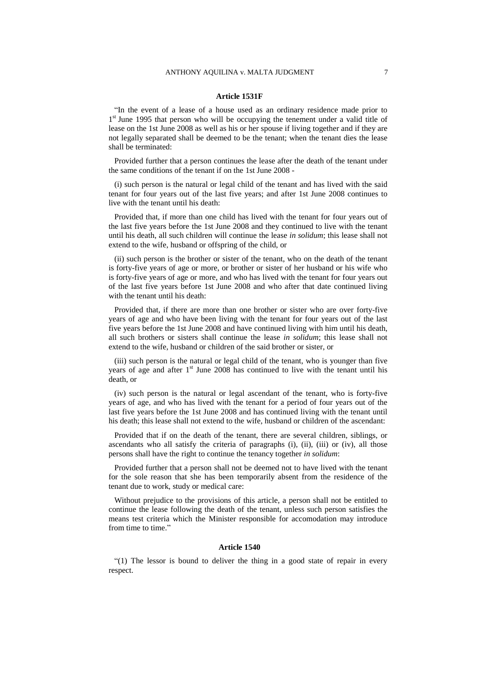#### **Article 1531F**

"In the event of a lease of a house used as an ordinary residence made prior to 1<sup>st</sup> June 1995 that person who will be occupying the tenement under a valid title of lease on the 1st June 2008 as well as his or her spouse if living together and if they are not legally separated shall be deemed to be the tenant; when the tenant dies the lease shall be terminated:

Provided further that a person continues the lease after the death of the tenant under the same conditions of the tenant if on the 1st June 2008 -

(i) such person is the natural or legal child of the tenant and has lived with the said tenant for four years out of the last five years; and after 1st June 2008 continues to live with the tenant until his death:

Provided that, if more than one child has lived with the tenant for four years out of the last five years before the 1st June 2008 and they continued to live with the tenant until his death, all such children will continue the lease *in solidum*; this lease shall not extend to the wife, husband or offspring of the child, or

(ii) such person is the brother or sister of the tenant, who on the death of the tenant is forty-five years of age or more, or brother or sister of her husband or his wife who is forty-five years of age or more, and who has lived with the tenant for four years out of the last five years before 1st June 2008 and who after that date continued living with the tenant until his death:

Provided that, if there are more than one brother or sister who are over forty-five years of age and who have been living with the tenant for four years out of the last five years before the 1st June 2008 and have continued living with him until his death, all such brothers or sisters shall continue the lease *in solidum*; this lease shall not extend to the wife, husband or children of the said brother or sister, or

(iii) such person is the natural or legal child of the tenant, who is younger than five years of age and after  $1<sup>st</sup>$  June 2008 has continued to live with the tenant until his death, or

(iv) such person is the natural or legal ascendant of the tenant, who is forty-five years of age, and who has lived with the tenant for a period of four years out of the last five years before the 1st June 2008 and has continued living with the tenant until his death; this lease shall not extend to the wife, husband or children of the ascendant:

Provided that if on the death of the tenant, there are several children, siblings, or ascendants who all satisfy the criteria of paragraphs (i), (ii), (iii) or (iv), all those persons shall have the right to continue the tenancy together *in solidum*:

Provided further that a person shall not be deemed not to have lived with the tenant for the sole reason that she has been temporarily absent from the residence of the tenant due to work, study or medical care:

Without prejudice to the provisions of this article, a person shall not be entitled to continue the lease following the death of the tenant, unless such person satisfies the means test criteria which the Minister responsible for accomodation may introduce from time to time."

### **Article 1540**

"(1) The lessor is bound to deliver the thing in a good state of repair in every respect.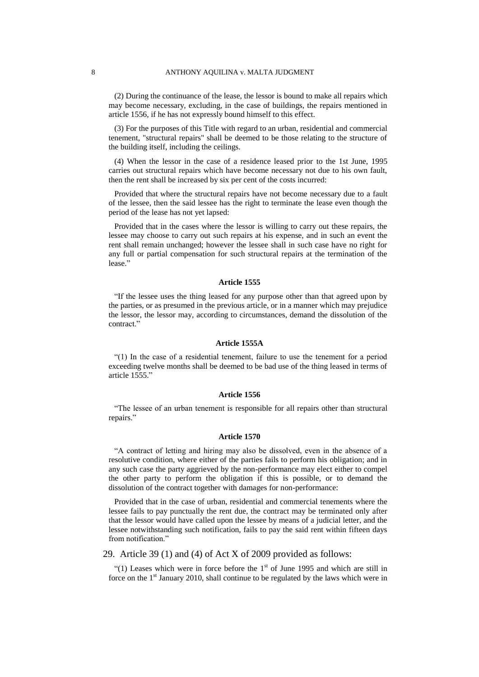(2) During the continuance of the lease, the lessor is bound to make all repairs which may become necessary, excluding, in the case of buildings, the repairs mentioned in article 1556, if he has not expressly bound himself to this effect.

(3) For the purposes of this Title with regard to an urban, residential and commercial tenement, "structural repairs" shall be deemed to be those relating to the structure of the building itself, including the ceilings.

(4) When the lessor in the case of a residence leased prior to the 1st June, 1995 carries out structural repairs which have become necessary not due to his own fault, then the rent shall be increased by six per cent of the costs incurred:

Provided that where the structural repairs have not become necessary due to a fault of the lessee, then the said lessee has the right to terminate the lease even though the period of the lease has not yet lapsed:

Provided that in the cases where the lessor is willing to carry out these repairs, the lessee may choose to carry out such repairs at his expense, and in such an event the rent shall remain unchanged; however the lessee shall in such case have no right for any full or partial compensation for such structural repairs at the termination of the lease."

#### **Article 1555**

"If the lessee uses the thing leased for any purpose other than that agreed upon by the parties, or as presumed in the previous article, or in a manner which may prejudice the lessor, the lessor may, according to circumstances, demand the dissolution of the contract<sup>"</sup>

### **Article 1555A**

"(1) In the case of a residential tenement, failure to use the tenement for a period exceeding twelve months shall be deemed to be bad use of the thing leased in terms of article 1555."

#### **Article 1556**

"The lessee of an urban tenement is responsible for all repairs other than structural repairs."

### **Article 1570**

"A contract of letting and hiring may also be dissolved, even in the absence of a resolutive condition, where either of the parties fails to perform his obligation; and in any such case the party aggrieved by the non-performance may elect either to compel the other party to perform the obligation if this is possible, or to demand the dissolution of the contract together with damages for non-performance:

Provided that in the case of urban, residential and commercial tenements where the lessee fails to pay punctually the rent due, the contract may be terminated only after that the lessor would have called upon the lessee by means of a judicial letter, and the lessee notwithstanding such notification, fails to pay the said rent within fifteen days from notification."

29. Article 39 (1) and (4) of Act X of 2009 provided as follows:

"(1) Leases which were in force before the  $1<sup>st</sup>$  of June 1995 and which are still in force on the  $1<sup>st</sup>$  January 2010, shall continue to be regulated by the laws which were in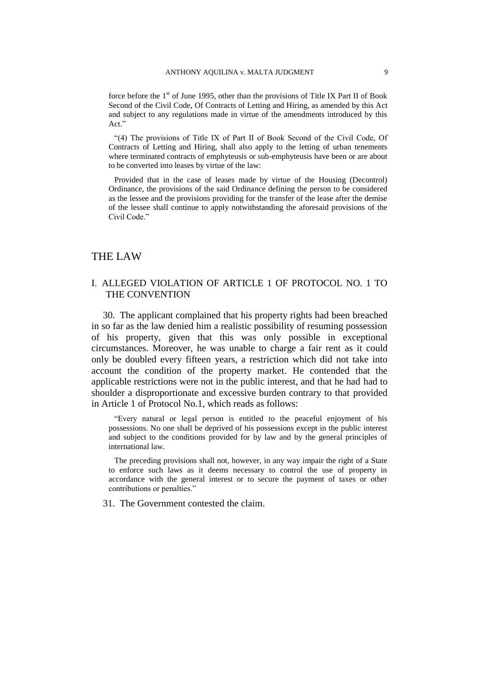force before the  $1<sup>st</sup>$  of June 1995, other than the provisions of Title IX Part II of Book Second of the Civil Code, Of Contracts of Letting and Hiring, as amended by this Act and subject to any regulations made in virtue of the amendments introduced by this Act."

"(4) The provisions of Title IX of Part II of Book Second of the Civil Code, Of Contracts of Letting and Hiring, shall also apply to the letting of urban tenements where terminated contracts of emphyteusis or sub-emphyteusis have been or are about to be converted into leases by virtue of the law:

Provided that in the case of leases made by virtue of the Housing (Decontrol) Ordinance, the provisions of the said Ordinance defining the person to be considered as the lessee and the provisions providing for the transfer of the lease after the demise of the lessee shall continue to apply notwithstanding the aforesaid provisions of the Civil Code."

## THE LAW

## I. ALLEGED VIOLATION OF ARTICLE 1 OF PROTOCOL NO. 1 TO THE CONVENTION

30. The applicant complained that his property rights had been breached in so far as the law denied him a realistic possibility of resuming possession of his property, given that this was only possible in exceptional circumstances. Moreover, he was unable to charge a fair rent as it could only be doubled every fifteen years, a restriction which did not take into account the condition of the property market. He contended that the applicable restrictions were not in the public interest, and that he had had to shoulder a disproportionate and excessive burden contrary to that provided in Article 1 of Protocol No.1, which reads as follows:

"Every natural or legal person is entitled to the peaceful enjoyment of his possessions. No one shall be deprived of his possessions except in the public interest and subject to the conditions provided for by law and by the general principles of international law.

The preceding provisions shall not, however, in any way impair the right of a State to enforce such laws as it deems necessary to control the use of property in accordance with the general interest or to secure the payment of taxes or other contributions or penalties."

31. The Government contested the claim.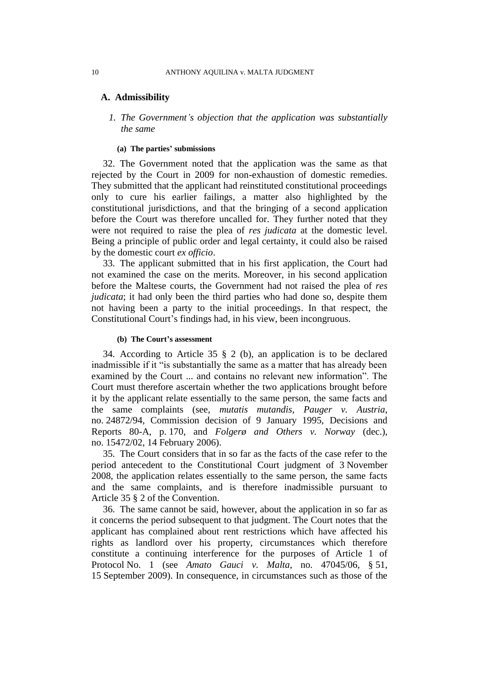### **A. Admissibility**

*1. The Government's objection that the application was substantially the same*

### **(a) The parties' submissions**

32. The Government noted that the application was the same as that rejected by the Court in 2009 for non-exhaustion of domestic remedies. They submitted that the applicant had reinstituted constitutional proceedings only to cure his earlier failings, a matter also highlighted by the constitutional jurisdictions, and that the bringing of a second application before the Court was therefore uncalled for. They further noted that they were not required to raise the plea of *res judicata* at the domestic level. Being a principle of public order and legal certainty, it could also be raised by the domestic court *ex officio*.

33. The applicant submitted that in his first application, the Court had not examined the case on the merits. Moreover, in his second application before the Maltese courts, the Government had not raised the plea of *res judicata*; it had only been the third parties who had done so, despite them not having been a party to the initial proceedings. In that respect, the Constitutional Court's findings had, in his view, been incongruous.

### **(b) The Court's assessment**

34. According to Article 35 § 2 (b), an application is to be declared inadmissible if it "is substantially the same as a matter that has already been examined by the Court ... and contains no relevant new information". The Court must therefore ascertain whether the two applications brought before it by the applicant relate essentially to the same person, the same facts and the same complaints (see, *mutatis mutandis*, *Pauger v. Austria*, no. [24872/94,](http://hudoc.echr.coe.int/sites/eng/Pages/search.aspx#{"appno":["24872/94"]}) Commission decision of 9 January 1995, Decisions and Reports 80-A, p. 170, and *Folgerø and Others v. Norway* (dec.), no. [15472/02,](http://hudoc.echr.coe.int/sites/eng/Pages/search.aspx#{"appno":["15472/02"]}) 14 February 2006).

35. The Court considers that in so far as the facts of the case refer to the period antecedent to the Constitutional Court judgment of 3 November 2008, the application relates essentially to the same person, the same facts and the same complaints, and is therefore inadmissible pursuant to Article 35 § 2 of the Convention.

36. The same cannot be said, however, about the application in so far as it concerns the period subsequent to that judgment. The Court notes that the applicant has complained about rent restrictions which have affected his rights as landlord over his property, circumstances which therefore constitute a continuing interference for the purposes of Article 1 of Protocol No. 1 (see *Amato Gauci v. Malta*, no. 47045/06, § 51, 15 September 2009). In consequence, in circumstances such as those of the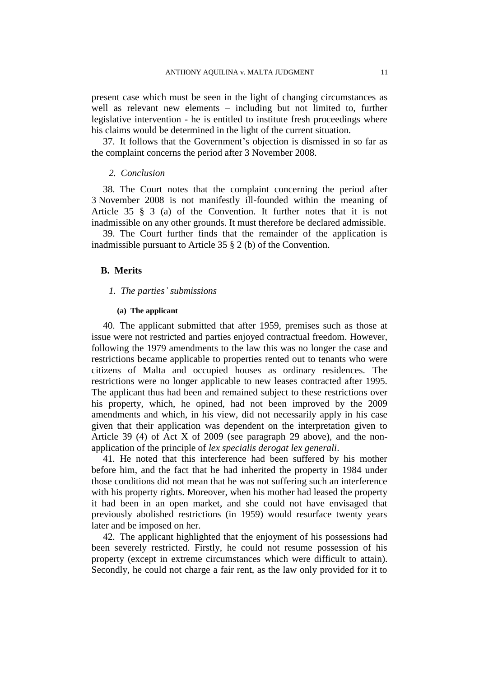present case which must be seen in the light of changing circumstances as well as relevant new elements – including but not limited to, further legislative intervention - he is entitled to institute fresh proceedings where his claims would be determined in the light of the current situation.

37. It follows that the Government's objection is dismissed in so far as the complaint concerns the period after 3 November 2008.

## *2. Conclusion*

38. The Court notes that the complaint concerning the period after 3 November 2008 is not manifestly ill-founded within the meaning of Article 35 § 3 (a) of the Convention. It further notes that it is not inadmissible on any other grounds. It must therefore be declared admissible.

39. The Court further finds that the remainder of the application is inadmissible pursuant to Article 35 § 2 (b) of the Convention.

## **B. Merits**

### *1. The parties' submissions*

#### **(a) The applicant**

40. The applicant submitted that after 1959, premises such as those at issue were not restricted and parties enjoyed contractual freedom. However, following the 1979 amendments to the law this was no longer the case and restrictions became applicable to properties rented out to tenants who were citizens of Malta and occupied houses as ordinary residences. The restrictions were no longer applicable to new leases contracted after 1995. The applicant thus had been and remained subject to these restrictions over his property, which, he opined, had not been improved by the 2009 amendments and which, in his view, did not necessarily apply in his case given that their application was dependent on the interpretation given to Article 39 (4) of Act X of 2009 (see paragraph 29 above), and the nonapplication of the principle of *lex specialis derogat lex generali*.

41. He noted that this interference had been suffered by his mother before him, and the fact that he had inherited the property in 1984 under those conditions did not mean that he was not suffering such an interference with his property rights. Moreover, when his mother had leased the property it had been in an open market, and she could not have envisaged that previously abolished restrictions (in 1959) would resurface twenty years later and be imposed on her.

42. The applicant highlighted that the enjoyment of his possessions had been severely restricted. Firstly, he could not resume possession of his property (except in extreme circumstances which were difficult to attain). Secondly, he could not charge a fair rent, as the law only provided for it to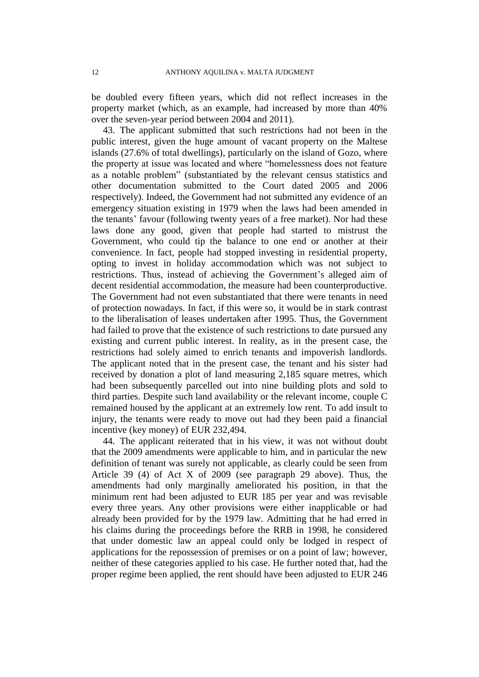be doubled every fifteen years, which did not reflect increases in the property market (which, as an example, had increased by more than 40% over the seven-year period between 2004 and 2011).

43. The applicant submitted that such restrictions had not been in the public interest, given the huge amount of vacant property on the Maltese islands (27.6% of total dwellings), particularly on the island of Gozo, where the property at issue was located and where "homelessness does not feature as a notable problem" (substantiated by the relevant census statistics and other documentation submitted to the Court dated 2005 and 2006 respectively). Indeed, the Government had not submitted any evidence of an emergency situation existing in 1979 when the laws had been amended in the tenants' favour (following twenty years of a free market). Nor had these laws done any good, given that people had started to mistrust the Government, who could tip the balance to one end or another at their convenience. In fact, people had stopped investing in residential property, opting to invest in holiday accommodation which was not subject to restrictions. Thus, instead of achieving the Government's alleged aim of decent residential accommodation, the measure had been counterproductive. The Government had not even substantiated that there were tenants in need of protection nowadays. In fact, if this were so, it would be in stark contrast to the liberalisation of leases undertaken after 1995. Thus, the Government had failed to prove that the existence of such restrictions to date pursued any existing and current public interest. In reality, as in the present case, the restrictions had solely aimed to enrich tenants and impoverish landlords. The applicant noted that in the present case, the tenant and his sister had received by donation a plot of land measuring 2,185 square metres, which had been subsequently parcelled out into nine building plots and sold to third parties. Despite such land availability or the relevant income, couple C remained housed by the applicant at an extremely low rent. To add insult to injury, the tenants were ready to move out had they been paid a financial incentive (key money) of EUR 232,494.

44. The applicant reiterated that in his view, it was not without doubt that the 2009 amendments were applicable to him, and in particular the new definition of tenant was surely not applicable, as clearly could be seen from Article 39 (4) of Act X of 2009 (see paragraph 29 above). Thus, the amendments had only marginally ameliorated his position, in that the minimum rent had been adjusted to EUR 185 per year and was revisable every three years. Any other provisions were either inapplicable or had already been provided for by the 1979 law. Admitting that he had erred in his claims during the proceedings before the RRB in 1998, he considered that under domestic law an appeal could only be lodged in respect of applications for the repossession of premises or on a point of law; however, neither of these categories applied to his case. He further noted that, had the proper regime been applied, the rent should have been adjusted to EUR 246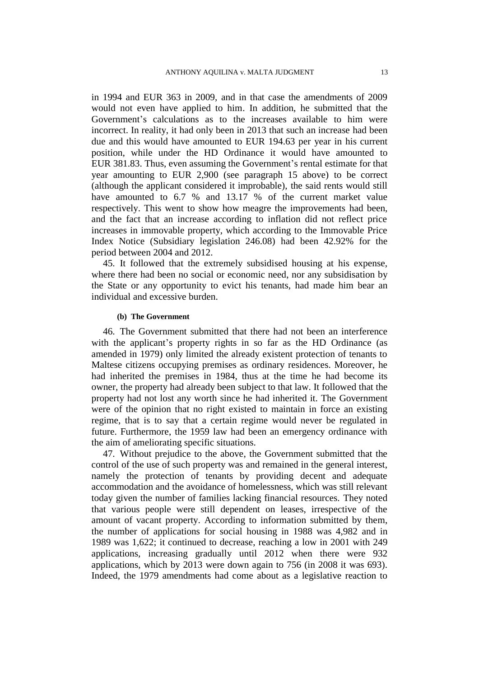in 1994 and EUR 363 in 2009, and in that case the amendments of 2009 would not even have applied to him. In addition, he submitted that the Government's calculations as to the increases available to him were incorrect. In reality, it had only been in 2013 that such an increase had been due and this would have amounted to EUR 194.63 per year in his current position, while under the HD Ordinance it would have amounted to EUR 381.83. Thus, even assuming the Government's rental estimate for that year amounting to EUR 2,900 (see paragraph 15 above) to be correct (although the applicant considered it improbable), the said rents would still have amounted to 6.7 % and 13.17 % of the current market value respectively. This went to show how meagre the improvements had been, and the fact that an increase according to inflation did not reflect price increases in immovable property, which according to the Immovable Price Index Notice (Subsidiary legislation 246.08) had been 42.92% for the period between 2004 and 2012.

45. It followed that the extremely subsidised housing at his expense, where there had been no social or economic need, nor any subsidisation by the State or any opportunity to evict his tenants, had made him bear an individual and excessive burden.

### **(b) The Government**

46. The Government submitted that there had not been an interference with the applicant's property rights in so far as the HD Ordinance (as amended in 1979) only limited the already existent protection of tenants to Maltese citizens occupying premises as ordinary residences. Moreover, he had inherited the premises in 1984, thus at the time he had become its owner, the property had already been subject to that law. It followed that the property had not lost any worth since he had inherited it. The Government were of the opinion that no right existed to maintain in force an existing regime, that is to say that a certain regime would never be regulated in future. Furthermore, the 1959 law had been an emergency ordinance with the aim of ameliorating specific situations.

47. Without prejudice to the above, the Government submitted that the control of the use of such property was and remained in the general interest, namely the protection of tenants by providing decent and adequate accommodation and the avoidance of homelessness, which was still relevant today given the number of families lacking financial resources. They noted that various people were still dependent on leases, irrespective of the amount of vacant property. According to information submitted by them, the number of applications for social housing in 1988 was 4,982 and in 1989 was 1,622; it continued to decrease, reaching a low in 2001 with 249 applications, increasing gradually until 2012 when there were 932 applications, which by 2013 were down again to 756 (in 2008 it was 693). Indeed, the 1979 amendments had come about as a legislative reaction to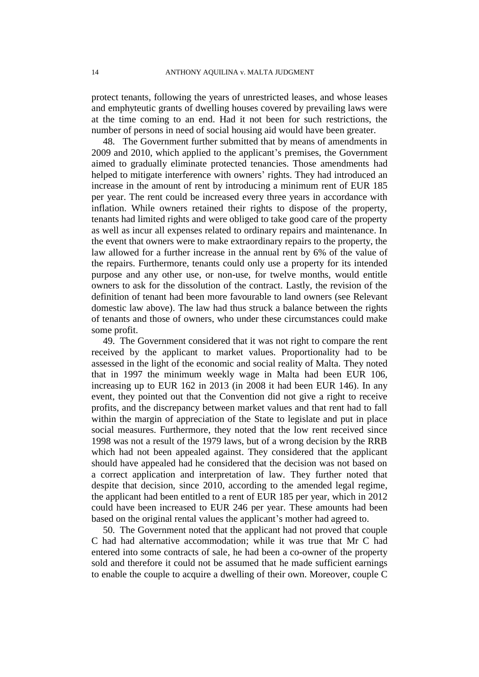protect tenants, following the years of unrestricted leases, and whose leases and emphyteutic grants of dwelling houses covered by prevailing laws were at the time coming to an end. Had it not been for such restrictions, the number of persons in need of social housing aid would have been greater.

48. The Government further submitted that by means of amendments in 2009 and 2010, which applied to the applicant's premises, the Government aimed to gradually eliminate protected tenancies. Those amendments had helped to mitigate interference with owners' rights. They had introduced an increase in the amount of rent by introducing a minimum rent of EUR 185 per year. The rent could be increased every three years in accordance with inflation. While owners retained their rights to dispose of the property, tenants had limited rights and were obliged to take good care of the property as well as incur all expenses related to ordinary repairs and maintenance. In the event that owners were to make extraordinary repairs to the property, the law allowed for a further increase in the annual rent by 6% of the value of the repairs. Furthermore, tenants could only use a property for its intended purpose and any other use, or non-use, for twelve months, would entitle owners to ask for the dissolution of the contract. Lastly, the revision of the definition of tenant had been more favourable to land owners (see Relevant domestic law above). The law had thus struck a balance between the rights of tenants and those of owners, who under these circumstances could make some profit.

49. The Government considered that it was not right to compare the rent received by the applicant to market values. Proportionality had to be assessed in the light of the economic and social reality of Malta. They noted that in 1997 the minimum weekly wage in Malta had been EUR 106, increasing up to EUR 162 in 2013 (in 2008 it had been EUR 146). In any event, they pointed out that the Convention did not give a right to receive profits, and the discrepancy between market values and that rent had to fall within the margin of appreciation of the State to legislate and put in place social measures. Furthermore, they noted that the low rent received since 1998 was not a result of the 1979 laws, but of a wrong decision by the RRB which had not been appealed against. They considered that the applicant should have appealed had he considered that the decision was not based on a correct application and interpretation of law. They further noted that despite that decision, since 2010, according to the amended legal regime, the applicant had been entitled to a rent of EUR 185 per year, which in 2012 could have been increased to EUR 246 per year. These amounts had been based on the original rental values the applicant's mother had agreed to.

50. The Government noted that the applicant had not proved that couple C had had alternative accommodation; while it was true that Mr C had entered into some contracts of sale, he had been a co-owner of the property sold and therefore it could not be assumed that he made sufficient earnings to enable the couple to acquire a dwelling of their own. Moreover, couple C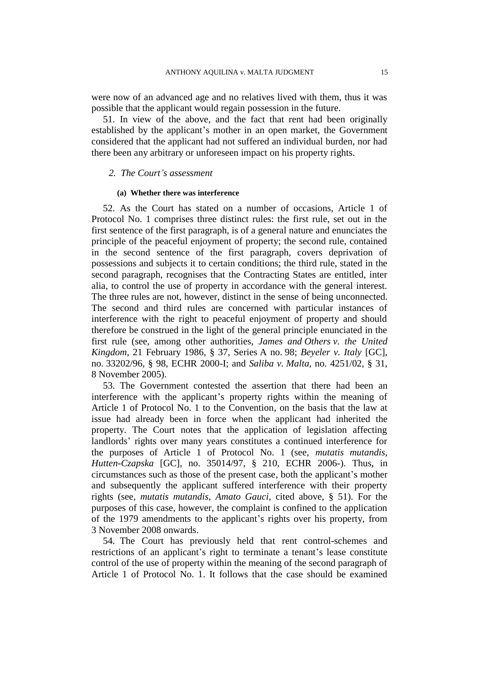were now of an advanced age and no relatives lived with them, thus it was possible that the applicant would regain possession in the future.

51. In view of the above, and the fact that rent had been originally established by the applicant's mother in an open market, the Government considered that the applicant had not suffered an individual burden, nor had there been any arbitrary or unforeseen impact on his property rights.

## *2. The Court's assessment*

### **(a) Whether there was interference**

52. As the Court has stated on a number of occasions, Article 1 of Protocol No. 1 comprises three distinct rules: the first rule, set out in the first sentence of the first paragraph, is of a general nature and enunciates the principle of the peaceful enjoyment of property; the second rule, contained in the second sentence of the first paragraph, covers deprivation of possessions and subjects it to certain conditions; the third rule, stated in the second paragraph, recognises that the Contracting States are entitled, inter alia, to control the use of property in accordance with the general interest. The three rules are not, however, distinct in the sense of being unconnected. The second and third rules are concerned with particular instances of interference with the right to peaceful enjoyment of property and should therefore be construed in the light of the general principle enunciated in the first rule (see, among other authorities, *James and Others v. the United Kingdom*, 21 February 1986, § 37, Series A no. 98; *Beyeler v. Italy* [GC], no. 33202/96, § 98, ECHR 2000-I; and *Saliba v. Malta*, no. 4251/02, § 31, 8 November 2005).

53. The Government contested the assertion that there had been an interference with the applicant's property rights within the meaning of Article 1 of Protocol No. 1 to the Convention, on the basis that the law at issue had already been in force when the applicant had inherited the property. The Court notes that the application of legislation affecting landlords' rights over many years constitutes a continued interference for the purposes of Article 1 of Protocol No. 1 (see, *mutatis mutandis*, *Hutten-Czapska* [GC], no. 35014/97, § 210, ECHR 2006-). Thus, in circumstances such as those of the present case, both the applicant's mother and subsequently the applicant suffered interference with their property rights (see, *mutatis mutandis*, *Amato Gauci*, cited above, § 51). For the purposes of this case, however, the complaint is confined to the application of the 1979 amendments to the applicant's rights over his property, from 3 November 2008 onwards.

54. The Court has previously held that rent control-schemes and restrictions of an applicant's right to terminate a tenant's lease constitute control of the use of property within the meaning of the second paragraph of Article 1 of Protocol No. 1. It follows that the case should be examined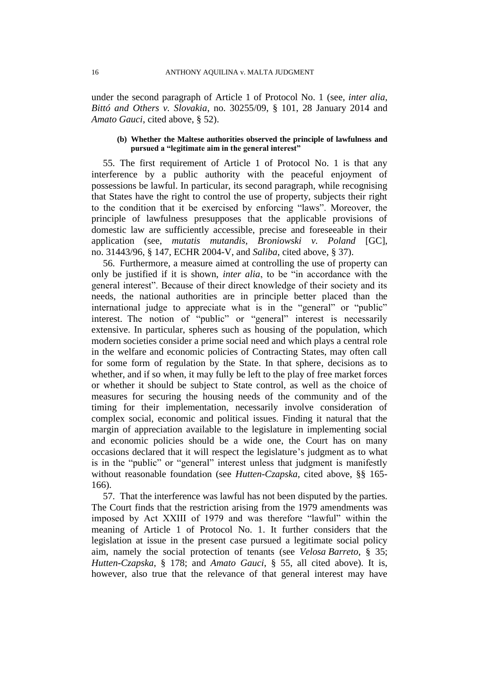under the second paragraph of Article 1 of Protocol No. 1 (see, *inter alia*, *Bittó and Others v. Slovakia*, no. 30255/09, § 101, 28 January 2014 and *Amato Gauci*, cited above, § 52).

## **(b) Whether the Maltese authorities observed the principle of lawfulness and pursued a "legitimate aim in the general interest"**

55. The first requirement of Article 1 of Protocol No. 1 is that any interference by a public authority with the peaceful enjoyment of possessions be lawful. In particular, its second paragraph, while recognising that States have the right to control the use of property, subjects their right to the condition that it be exercised by enforcing "laws". Moreover, the principle of lawfulness presupposes that the applicable provisions of domestic law are sufficiently accessible, precise and foreseeable in their application (see, *mutatis mutandis*, *Broniowski v. Poland* [GC], no. 31443/96, § 147, ECHR 2004-V, and *Saliba*, cited above*,* § 37).

56. Furthermore, a measure aimed at controlling the use of property can only be justified if it is shown, *inter alia*, to be "in accordance with the general interest". Because of their direct knowledge of their society and its needs, the national authorities are in principle better placed than the international judge to appreciate what is in the "general" or "public" interest. The notion of "public" or "general" interest is necessarily extensive. In particular, spheres such as housing of the population, which modern societies consider a prime social need and which plays a central role in the welfare and economic policies of Contracting States, may often call for some form of regulation by the State. In that sphere, decisions as to whether, and if so when, it may fully be left to the play of free market forces or whether it should be subject to State control, as well as the choice of measures for securing the housing needs of the community and of the timing for their implementation, necessarily involve consideration of complex social, economic and political issues. Finding it natural that the margin of appreciation available to the legislature in implementing social and economic policies should be a wide one, the Court has on many occasions declared that it will respect the legislature's judgment as to what is in the "public" or "general" interest unless that judgment is manifestly without reasonable foundation (see *Hutten-Czapska*, cited above, §§ 165- 166).

57. That the interference was lawful has not been disputed by the parties. The Court finds that the restriction arising from the 1979 amendments was imposed by Act XXIII of 1979 and was therefore "lawful" within the meaning of Article 1 of Protocol No. 1. It further considers that the legislation at issue in the present case pursued a legitimate social policy aim, namely the social protection of tenants (see *Velosa Barreto*, § 35; *Hutten-Czapska*, § 178; and *Amato Gauci*, § 55, all cited above). It is, however, also true that the relevance of that general interest may have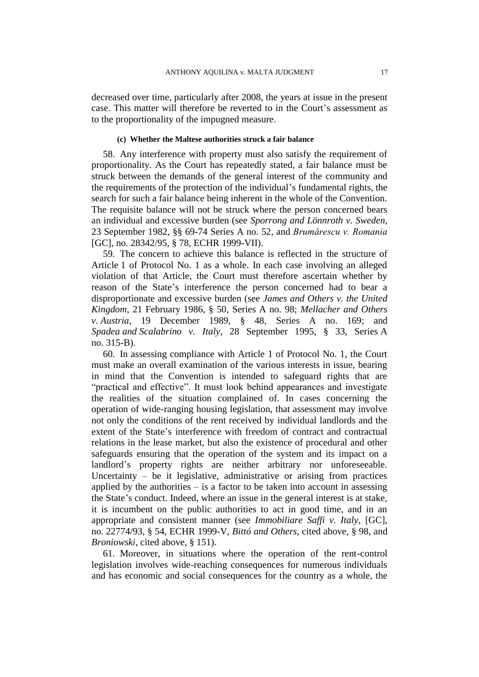decreased over time, particularly after 2008, the years at issue in the present case. This matter will therefore be reverted to in the Court's assessment as to the proportionality of the impugned measure.

### **(c) Whether the Maltese authorities struck a fair balance**

58. Any interference with property must also satisfy the requirement of proportionality. As the Court has repeatedly stated, a fair balance must be struck between the demands of the general interest of the community and the requirements of the protection of the individual's fundamental rights, the search for such a fair balance being inherent in the whole of the Convention. The requisite balance will not be struck where the person concerned bears an individual and excessive burden (see *Sporrong and Lönnroth v. Sweden*, 23 September 1982, §§ 69-74 Series A no. 52, and *Brumărescu v. Romania* [GC], no. 28342/95, § 78, ECHR 1999-VII).

59. The concern to achieve this balance is reflected in the structure of Article 1 of Protocol No. 1 as a whole. In each case involving an alleged violation of that Article, the Court must therefore ascertain whether by reason of the State's interference the person concerned had to bear a disproportionate and excessive burden (see *James and Others v. the United Kingdom*, 21 February 1986, § 50, Series A no. 98; *Mellacher and Others v. Austria*, 19 December 1989, § 48, Series A no. 169; and *Spadea and Scalabrino v. Italy*, 28 September 1995, § 33, Series A no. 315-B).

60. In assessing compliance with Article 1 of Protocol No. 1, the Court must make an overall examination of the various interests in issue, bearing in mind that the Convention is intended to safeguard rights that are "practical and effective". It must look behind appearances and investigate the realities of the situation complained of. In cases concerning the operation of wide-ranging housing legislation, that assessment may involve not only the conditions of the rent received by individual landlords and the extent of the State's interference with freedom of contract and contractual relations in the lease market, but also the existence of procedural and other safeguards ensuring that the operation of the system and its impact on a landlord's property rights are neither arbitrary nor unforeseeable. Uncertainty  $-$  be it legislative, administrative or arising from practices applied by the authorities  $-$  is a factor to be taken into account in assessing the State's conduct. Indeed, where an issue in the general interest is at stake, it is incumbent on the public authorities to act in good time, and in an appropriate and consistent manner (see *Immobiliare Saffi v. Italy*, [GC], no. 22774/93, § 54, ECHR 1999-V, *Bittó and Others*, cited above, § 98, and *Broniowski*, cited above, § 151).

61. Moreover, in situations where the operation of the rent-control legislation involves wide-reaching consequences for numerous individuals and has economic and social consequences for the country as a whole, the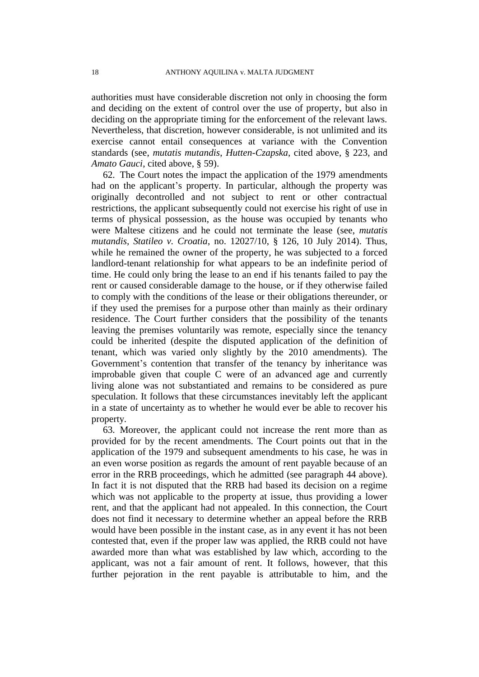authorities must have considerable discretion not only in choosing the form and deciding on the extent of control over the use of property, but also in deciding on the appropriate timing for the enforcement of the relevant laws. Nevertheless, that discretion, however considerable, is not unlimited and its exercise cannot entail consequences at variance with the Convention standards (see, *mutatis mutandis*, *Hutten-Czapska*, cited above, § 223, and *Amato Gauci*, cited above, § 59).

62. The Court notes the impact the application of the 1979 amendments had on the applicant's property. In particular, although the property was originally decontrolled and not subject to rent or other contractual restrictions, the applicant subsequently could not exercise his right of use in terms of physical possession, as the house was occupied by tenants who were Maltese citizens and he could not terminate the lease (see, *mutatis mutandis, Statileo v. Croatia*, no. 12027/10, § 126, 10 July 2014). Thus, while he remained the owner of the property, he was subjected to a forced landlord-tenant relationship for what appears to be an indefinite period of time. He could only bring the lease to an end if his tenants failed to pay the rent or caused considerable damage to the house, or if they otherwise failed to comply with the conditions of the lease or their obligations thereunder, or if they used the premises for a purpose other than mainly as their ordinary residence. The Court further considers that the possibility of the tenants leaving the premises voluntarily was remote, especially since the tenancy could be inherited (despite the disputed application of the definition of tenant, which was varied only slightly by the 2010 amendments). The Government's contention that transfer of the tenancy by inheritance was improbable given that couple C were of an advanced age and currently living alone was not substantiated and remains to be considered as pure speculation. It follows that these circumstances inevitably left the applicant in a state of uncertainty as to whether he would ever be able to recover his property.

63. Moreover, the applicant could not increase the rent more than as provided for by the recent amendments. The Court points out that in the application of the 1979 and subsequent amendments to his case, he was in an even worse position as regards the amount of rent payable because of an error in the RRB proceedings, which he admitted (see paragraph 44 above). In fact it is not disputed that the RRB had based its decision on a regime which was not applicable to the property at issue, thus providing a lower rent, and that the applicant had not appealed. In this connection, the Court does not find it necessary to determine whether an appeal before the RRB would have been possible in the instant case, as in any event it has not been contested that, even if the proper law was applied, the RRB could not have awarded more than what was established by law which, according to the applicant, was not a fair amount of rent. It follows, however, that this further pejoration in the rent payable is attributable to him, and the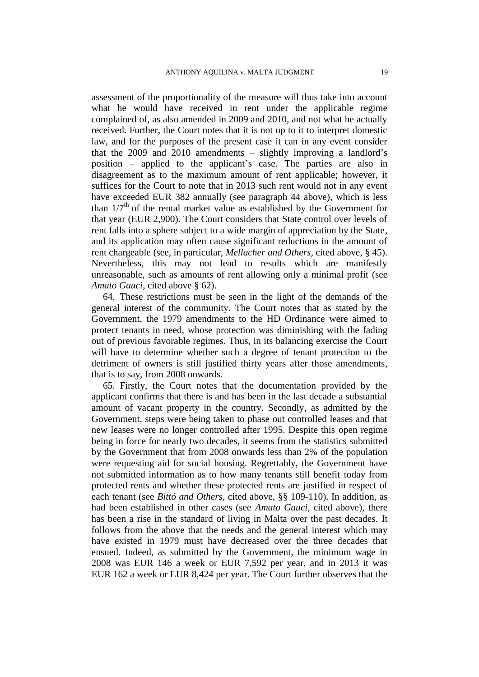assessment of the proportionality of the measure will thus take into account what he would have received in rent under the applicable regime complained of, as also amended in 2009 and 2010, and not what he actually received. Further, the Court notes that it is not up to it to interpret domestic law, and for the purposes of the present case it can in any event consider that the 2009 and 2010 amendments – slightly improving a landlord's position – applied to the applicant's case. The parties are also in disagreement as to the maximum amount of rent applicable; however, it suffices for the Court to note that in 2013 such rent would not in any event have exceeded EUR 382 annually (see paragraph 44 above), which is less than  $1/7<sup>th</sup>$  of the rental market value as established by the Government for that year (EUR 2,900). The Court considers that State control over levels of rent falls into a sphere subject to a wide margin of appreciation by the State, and its application may often cause significant reductions in the amount of rent chargeable (see, in particular*, Mellacher and Others*, cited above, § 45). Nevertheless, this may not lead to results which are manifestly unreasonable, such as amounts of rent allowing only a minimal profit (see *Amato Gauci*, cited above § 62).

64. These restrictions must be seen in the light of the demands of the general interest of the community. The Court notes that as stated by the Government, the 1979 amendments to the HD Ordinance were aimed to protect tenants in need, whose protection was diminishing with the fading out of previous favorable regimes. Thus, in its balancing exercise the Court will have to determine whether such a degree of tenant protection to the detriment of owners is still justified thirty years after those amendments, that is to say, from 2008 onwards.

65. Firstly, the Court notes that the documentation provided by the applicant confirms that there is and has been in the last decade a substantial amount of vacant property in the country. Secondly, as admitted by the Government, steps were being taken to phase out controlled leases and that new leases were no longer controlled after 1995. Despite this open regime being in force for nearly two decades, it seems from the statistics submitted by the Government that from 2008 onwards less than 2% of the population were requesting aid for social housing. Regrettably, the Government have not submitted information as to how many tenants still benefit today from protected rents and whether these protected rents are justified in respect of each tenant (see *Bittó and Others,* cited above, §§ 109-110). In addition, as had been established in other cases (see *Amato Gauci*, cited above), there has been a rise in the standard of living in Malta over the past decades. It follows from the above that the needs and the general interest which may have existed in 1979 must have decreased over the three decades that ensued. Indeed, as submitted by the Government, the minimum wage in 2008 was EUR 146 a week or EUR 7,592 per year, and in 2013 it was EUR 162 a week or EUR 8,424 per year. The Court further observes that the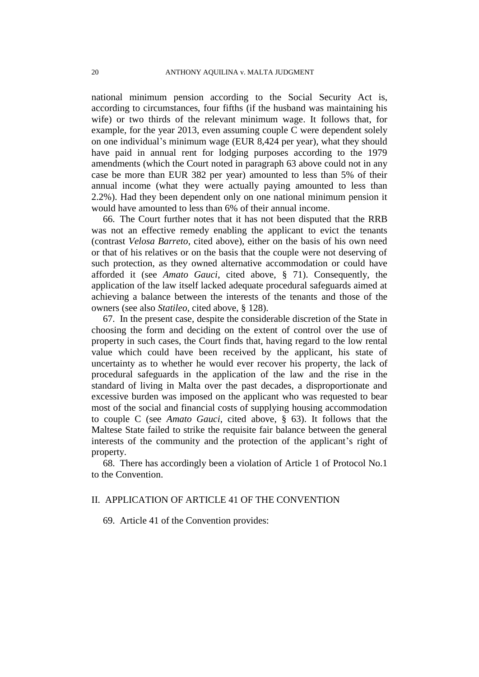national minimum pension according to the Social Security Act is, according to circumstances, four fifths (if the husband was maintaining his wife) or two thirds of the relevant minimum wage. It follows that, for example, for the year 2013, even assuming couple C were dependent solely on one individual's minimum wage (EUR 8,424 per year), what they should have paid in annual rent for lodging purposes according to the 1979 amendments (which the Court noted in paragraph 63 above could not in any case be more than EUR 382 per year) amounted to less than 5% of their annual income (what they were actually paying amounted to less than 2.2%). Had they been dependent only on one national minimum pension it would have amounted to less than 6% of their annual income.

66. The Court further notes that it has not been disputed that the RRB was not an effective remedy enabling the applicant to evict the tenants (contrast *Velosa Barreto*, cited above), either on the basis of his own need or that of his relatives or on the basis that the couple were not deserving of such protection, as they owned alternative accommodation or could have afforded it (see *Amato Gauci*, cited above, § 71). Consequently, the application of the law itself lacked adequate procedural safeguards aimed at achieving a balance between the interests of the tenants and those of the owners (see also *Statileo,* cited above, § 128).

67. In the present case, despite the considerable discretion of the State in choosing the form and deciding on the extent of control over the use of property in such cases, the Court finds that, having regard to the low rental value which could have been received by the applicant, his state of uncertainty as to whether he would ever recover his property, the lack of procedural safeguards in the application of the law and the rise in the standard of living in Malta over the past decades, a disproportionate and excessive burden was imposed on the applicant who was requested to bear most of the social and financial costs of supplying housing accommodation to couple C (see *Amato Gauci*, cited above, § 63). It follows that the Maltese State failed to strike the requisite fair balance between the general interests of the community and the protection of the applicant's right of property.

68. There has accordingly been a violation of Article 1 of Protocol No.1 to the Convention.

## II. APPLICATION OF ARTICLE 41 OF THE CONVENTION

69. Article 41 of the Convention provides: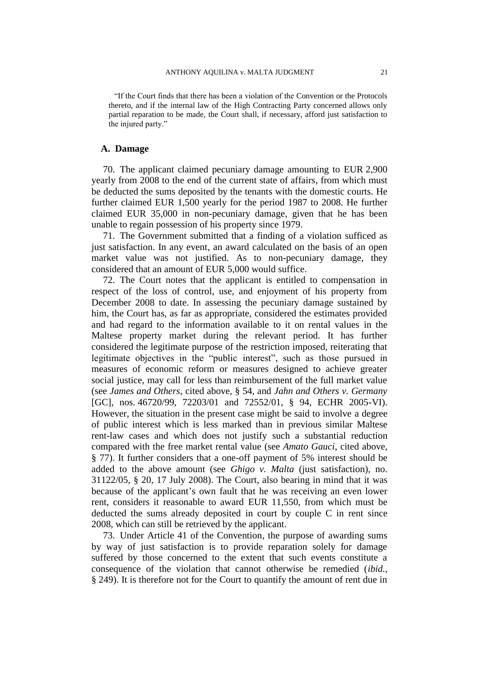"If the Court finds that there has been a violation of the Convention or the Protocols thereto, and if the internal law of the High Contracting Party concerned allows only partial reparation to be made, the Court shall, if necessary, afford just satisfaction to the injured party."

## **A. Damage**

70. The applicant claimed pecuniary damage amounting to EUR 2,900 yearly from 2008 to the end of the current state of affairs, from which must be deducted the sums deposited by the tenants with the domestic courts. He further claimed EUR 1,500 yearly for the period 1987 to 2008. He further claimed EUR 35,000 in non-pecuniary damage, given that he has been unable to regain possession of his property since 1979.

71. The Government submitted that a finding of a violation sufficed as just satisfaction. In any event, an award calculated on the basis of an open market value was not justified. As to non-pecuniary damage, they considered that an amount of EUR 5,000 would suffice.

72. The Court notes that the applicant is entitled to compensation in respect of the loss of control, use, and enjoyment of his property from December 2008 to date. In assessing the pecuniary damage sustained by him, the Court has, as far as appropriate, considered the estimates provided and had regard to the information available to it on rental values in the Maltese property market during the relevant period. It has further considered the legitimate purpose of the restriction imposed, reiterating that legitimate objectives in the "public interest", such as those pursued in measures of economic reform or measures designed to achieve greater social justice, may call for less than reimbursement of the full market value (see *James and Others*, cited above, § 54, and *Jahn and Others v. Germany*  [GC], nos. 46720/99, 72203/01 and 72552/01, § 94, ECHR 2005-VI). However, the situation in the present case might be said to involve a degree of public interest which is less marked than in previous similar Maltese rent-law cases and which does not justify such a substantial reduction compared with the free market rental value (see *Amato Gauci*, cited above, § 77). It further considers that a one-off payment of 5% interest should be added to the above amount (see *Ghigo v. Malta* (just satisfaction), no. 31122/05, § 20, 17 July 2008). The Court, also bearing in mind that it was because of the applicant's own fault that he was receiving an even lower rent, considers it reasonable to award EUR 11,550, from which must be deducted the sums already deposited in court by couple C in rent since 2008, which can still be retrieved by the applicant.

73. Under Article 41 of the Convention, the purpose of awarding sums by way of just satisfaction is to provide reparation solely for damage suffered by those concerned to the extent that such events constitute a consequence of the violation that cannot otherwise be remedied (*ibid.,* § 249). It is therefore not for the Court to quantify the amount of rent due in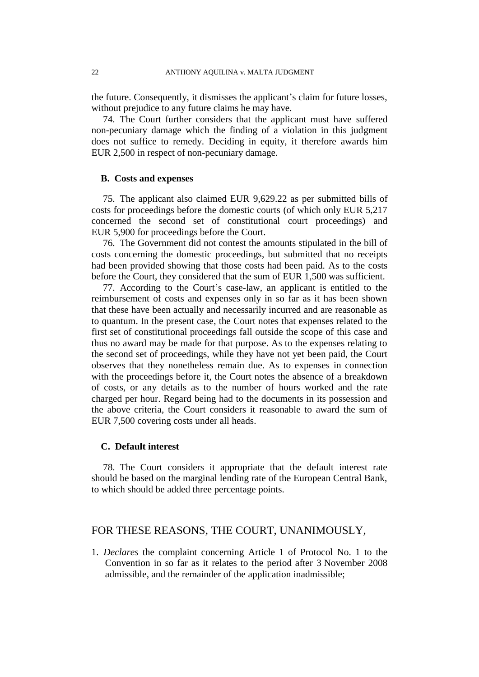the future. Consequently, it dismisses the applicant's claim for future losses, without prejudice to any future claims he may have.

74. The Court further considers that the applicant must have suffered non-pecuniary damage which the finding of a violation in this judgment does not suffice to remedy. Deciding in equity, it therefore awards him EUR 2,500 in respect of non-pecuniary damage.

## **B. Costs and expenses**

75. The applicant also claimed EUR 9,629.22 as per submitted bills of costs for proceedings before the domestic courts (of which only EUR 5,217 concerned the second set of constitutional court proceedings) and EUR 5,900 for proceedings before the Court.

76. The Government did not contest the amounts stipulated in the bill of costs concerning the domestic proceedings, but submitted that no receipts had been provided showing that those costs had been paid. As to the costs before the Court, they considered that the sum of EUR 1,500 was sufficient.

77. According to the Court's case-law, an applicant is entitled to the reimbursement of costs and expenses only in so far as it has been shown that these have been actually and necessarily incurred and are reasonable as to quantum. In the present case, the Court notes that expenses related to the first set of constitutional proceedings fall outside the scope of this case and thus no award may be made for that purpose. As to the expenses relating to the second set of proceedings, while they have not yet been paid, the Court observes that they nonetheless remain due. As to expenses in connection with the proceedings before it, the Court notes the absence of a breakdown of costs, or any details as to the number of hours worked and the rate charged per hour. Regard being had to the documents in its possession and the above criteria, the Court considers it reasonable to award the sum of EUR 7,500 covering costs under all heads.

## **C. Default interest**

78. The Court considers it appropriate that the default interest rate should be based on the marginal lending rate of the European Central Bank, to which should be added three percentage points.

## FOR THESE REASONS, THE COURT, UNANIMOUSLY,

1. *Declares* the complaint concerning Article 1 of Protocol No. 1 to the Convention in so far as it relates to the period after 3 November 2008 admissible, and the remainder of the application inadmissible;